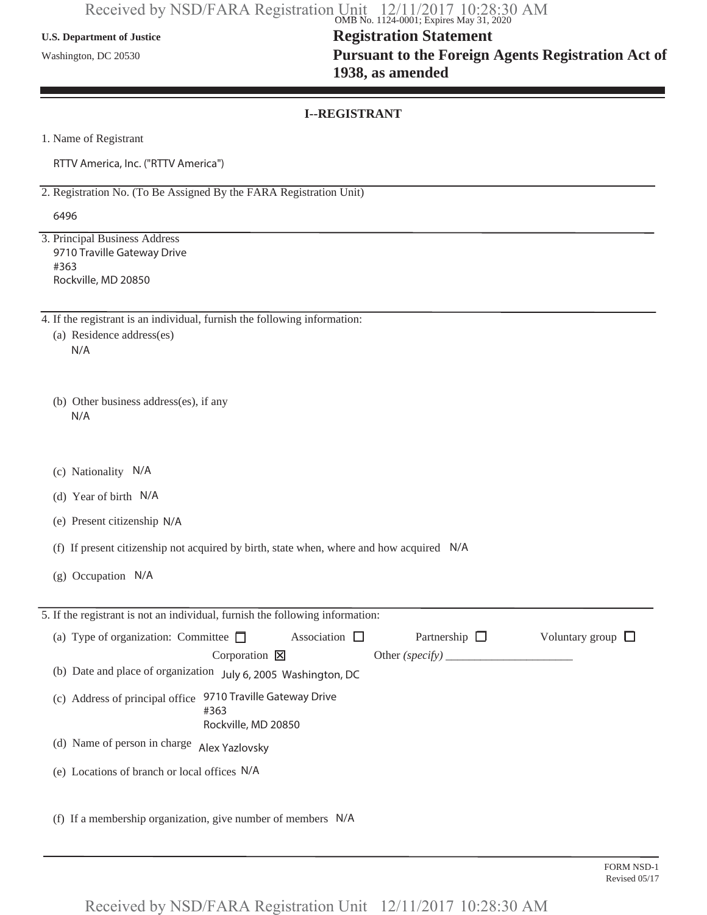### **U.S. Department of Justice**

Washington, DC 20530

## **Registration Statement Pursuant to the Foreign Agents Registration Act of 1938, as amended**

## **I--REGISTRANT**

1. Name of Registrant

RTTV America, Inc. ("RTTV America")

2. Registration No. (To Be Assigned By the FARA Registration Unit)

6496

3. Principal Business Address 9710 Traville Gateway Drive #363 Rockville, MD 20850

4. If the registrant is an individual, furnish the following information:

- (a) Residence address(es) N/A
- (b) Other business address(es), if any N/A
- (c) Nationality N/A
- (d) Year of birth N/A
- (e) Present citizenship N/A
- (f) If present citizenship not acquired by birth, state when, where and how acquired N/A
- (g) Occupation N/A

| 5. If the registrant is not an individual, furnish the following information: |                                                            |                    |                    |                        |
|-------------------------------------------------------------------------------|------------------------------------------------------------|--------------------|--------------------|------------------------|
| (a) Type of organization: Committee $\Box$                                    |                                                            | Association $\Box$ | Partnership $\Box$ | Voluntary group $\Box$ |
|                                                                               | Corporation $\boxtimes$                                    |                    |                    |                        |
| (b) Date and place of organization July 6, 2005 Washington, DC                |                                                            |                    |                    |                        |
| (c) Address of principal office                                               | 9710 Traville Gateway Drive<br>#363<br>Rockville, MD 20850 |                    |                    |                        |
| (d) Name of person in charge                                                  | Alex Yazlovsky                                             |                    |                    |                        |
| (e) Locations of branch or local offices N/A                                  |                                                            |                    |                    |                        |
| (f) If a membership organization, give number of members N/A                  |                                                            |                    |                    |                        |

Received by NSD/FARA Registration Unit 12/11/2017 10:28:30 AM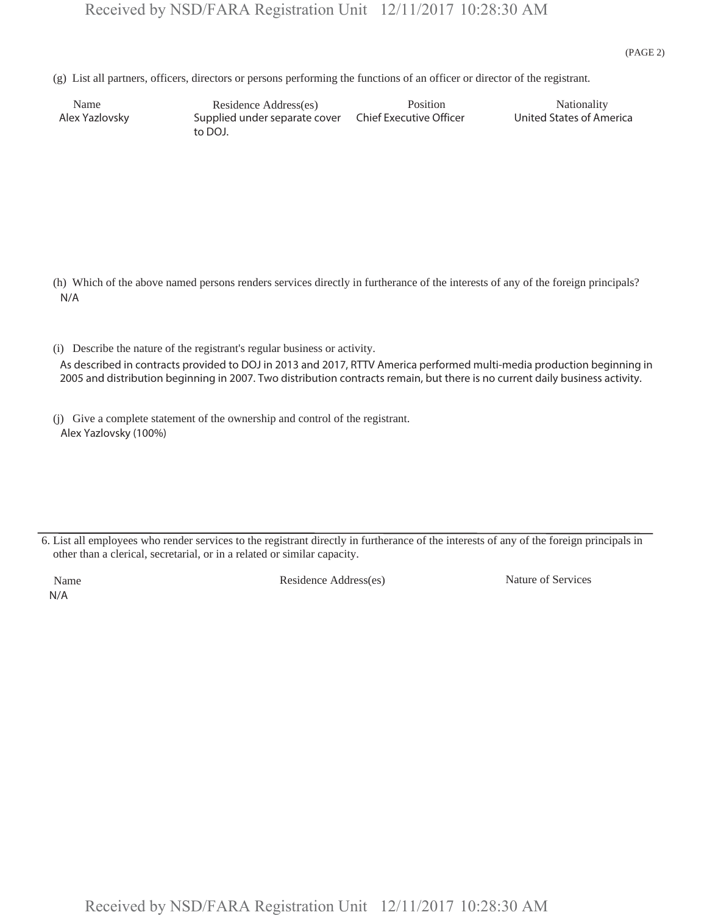(g) List all partners, officers, directors or persons performing the functions of an officer or director of the registrant.

Name Residence Address(es) Position Position Nationality<br>Ex Yazlovsky Supplied under separate cover Chief Executive Officer United States of America Supplied under separate cover to DOJ. Alex Yazlovsky

 (h) Which of the above named persons renders services directly in furtherance of the interests of any of the foreign principals? N/A

 (i) Describe the nature of the registrant's regular business or activity. As described in contracts provided to DOJ in 2013 and 2017, RTTV America performed multi-media production beginning in 2005 and distribution beginning in 2007. Two distribution contracts remain, but there is no current daily business activity.

 (j) Give a complete statement of the ownership and control of the registrant. Alex Yazlovsky (100%)

6. List all employees who render services to the registrant directly in furtherance of the interests of any of the foreign principals in other than a clerical, secretarial, or in a related or similar capacity.

N/A

Name Residence Address(es) Nature of Services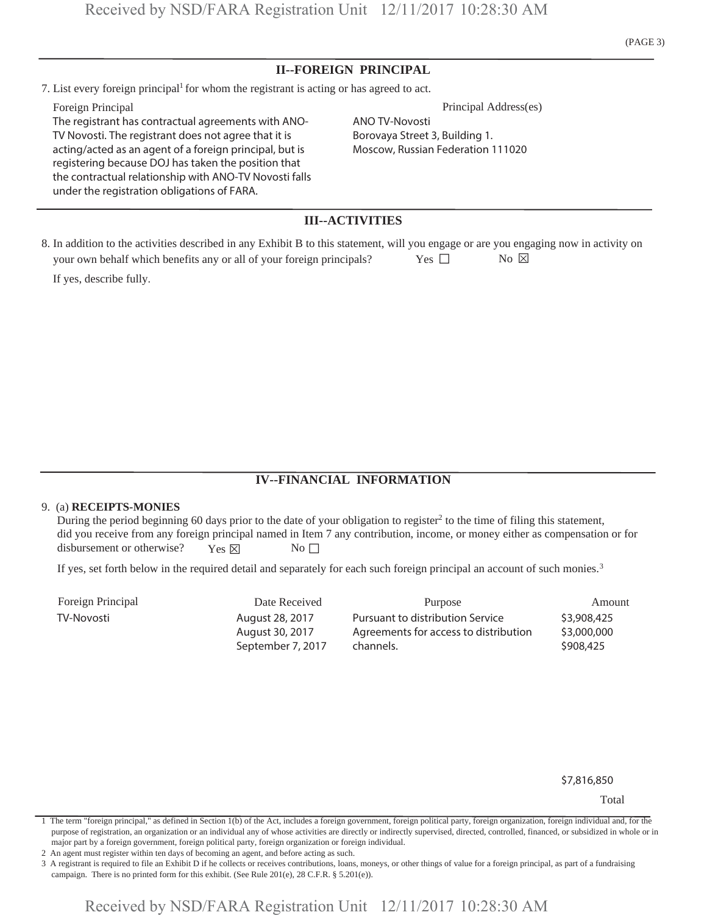(PAGE 3)

## **II--FOREIGN PRINCIPAL**

7. List every foreign principal<sup>1</sup> for whom the registrant is acting or has agreed to act.

The registrant has contractual agreements with ANO-TV Novosti. The registrant does not agree that it is acting/acted as an agent of a foreign principal, but is registering because DOJ has taken the position that the contractual relationship with ANO-TV Novosti falls under the registration obligations of FARA.

Foreign Principal Principal Address(es)

ANO TV-Novosti Borovaya Street 3, Building 1. Moscow, Russian Federation 111020

## **III--ACTIVITIES**

| 8. In addition to the activities described in any Exhibit B to this statement, will you engage or are you engaging now in activity on |        |                                        |  |
|---------------------------------------------------------------------------------------------------------------------------------------|--------|----------------------------------------|--|
| your own behalf which benefits any or all of your foreign principals?                                                                 | Yes 11 | $\overline{N}$ $\alpha$ $\overline{X}$ |  |
| If yes, describe fully.                                                                                                               |        |                                        |  |

## **IV--FINANCIAL INFORMATION**

#### 9. (a) **RECEIPTS-MONIES**

During the period beginning 60 days prior to the date of your obligation to register<sup>2</sup> to the time of filing this statement, did you receive from any foreign principal named in Item 7 any contribution, income, or money either as compensation or for disbursement or otherwise? Yes  $\times$  No  $\Box$ 

If yes, set forth below in the required detail and separately for each such foreign principal an account of such monies.<sup>3</sup>

| Foreign Principal | Date Received     | Purpose                               | Amount      |
|-------------------|-------------------|---------------------------------------|-------------|
| TV-Novosti        | August 28, 2017   | Pursuant to distribution Service      | \$3,908,425 |
|                   | August 30, 2017   | Agreements for access to distribution | \$3,000,000 |
|                   | September 7, 2017 | channels.                             | \$908,425   |

\$7,816,850

Total

2 An agent must register within ten days of becoming an agent, and before acting as such.

3 A registrant is required to file an Exhibit D if he collects or receives contributions, loans, moneys, or other things of value for a foreign principal, as part of a fundraising campaign. There is no printed form for this exhibit. (See Rule 201(e), 28 C.F.R. § 5.201(e)).

<sup>1</sup> The term "foreign principal," as defined in Section 1(b) of the Act, includes a foreign government, foreign political party, foreign organization, foreign individual and, for the purpose of registration, an organization or an individual any of whose activities are directly or indirectly supervised, directed, controlled, financed, or subsidized in whole or in major part by a foreign government, foreign political party, foreign organization or foreign individual.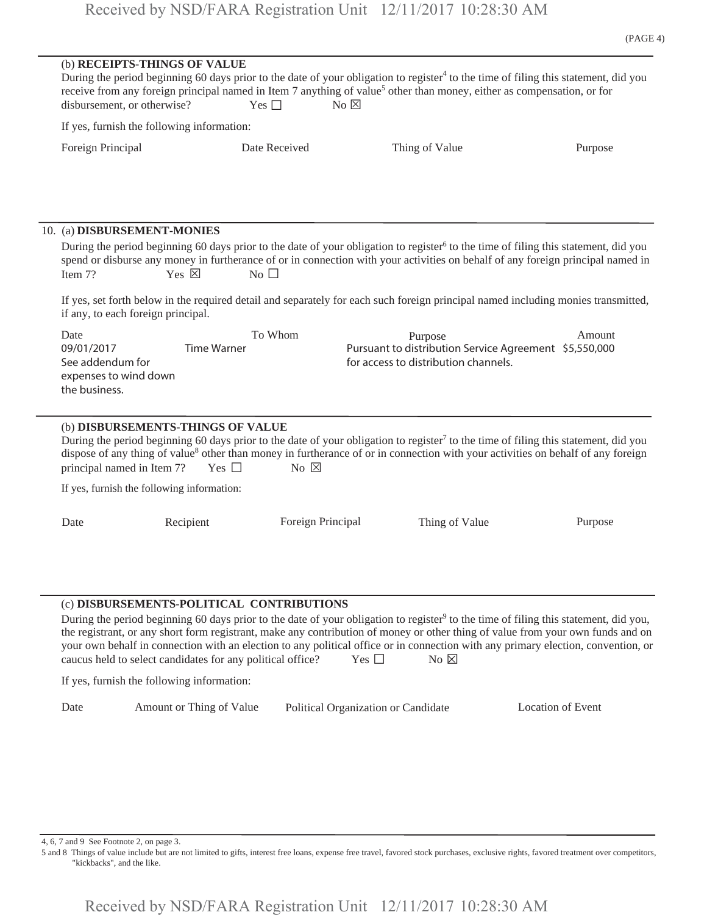(b) **RECEIPTS-THINGS OF VALUE** During the period beginning 60 days prior to the date of your obligation to register<sup>4</sup> to the time of filing this statement, did you receive from any foreign principal named in Item 7 anything of value<sup>5</sup> other than money, either as compensation, or for disbursement, or otherwise?  $Yes \Box$  No  $\boxtimes$ If yes, furnish the following information: Foreign Principal **Figure 2** Date Received **Thing of Value** Purpose 10. (a) **DISBURSEMENT-MONIES** During the period beginning 60 days prior to the date of your obligation to register<sup>6</sup> to the time of filing this statement, did you spend or disburse any money in furtherance of or in connection with your activities on behalf of any foreign principal named in<br>Item 7? Yes  $\boxtimes$  No  $\Box$ If yes, set forth below in the required detail and separately for each such foreign principal named including monies transmitted, if any, to each foreign principal. Date To Whom Purpose Amount (b) **DISBURSEMENTS-THINGS OF VALUE** During the period beginning 60 days prior to the date of your obligation to register<sup>7</sup> to the time of filing this statement, did you dispose of any thing of value<sup>8</sup> other than money in furtherance of or in connection with your activities on behalf of any foreign principal named in Item 7? Yes  $\Box$  No  $\boxtimes$ If yes, furnish the following information: Date Recipient Foreign Principal Thing of Value Purpose (c) **DISBURSEMENTS-POLITICAL CONTRIBUTIONS** During the period beginning 60 days prior to the date of your obligation to register<sup>9</sup> to the time of filing this statement, did you, Pursuant to distribution Service Agreement \$5,550,000 for access to distribution channels. 09/01/2017 Time Warner See addendum for expenses to wind down the business.

the registrant, or any short form registrant, make any contribution of money or other thing of value from your own funds and on your own behalf in connection with an election to any political office or in connection with any primary election, convention, or caucus held to select candidates for any political office? Yes  $\square$  No  $\boxtimes$ 

If yes, furnish the following information:

| Date | Amount or Thing of Value | Political Organization or Candidate | Location of Event |
|------|--------------------------|-------------------------------------|-------------------|
|------|--------------------------|-------------------------------------|-------------------|

4, 6, 7 and 9 See Footnote 2, on page 3.

5 and 8 Things of value include but are not limited to gifts, interest free loans, expense free travel, favored stock purchases, exclusive rights, favored treatment over competitors, "kickbacks", and the like.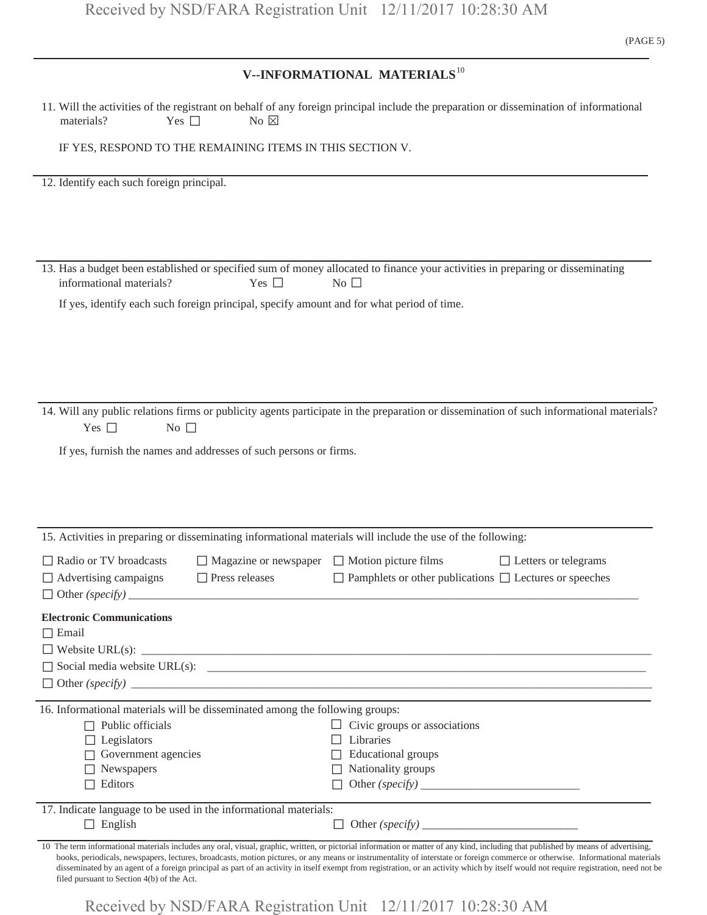## **V--INFORMATIONAL MATERIALS**<sup>10</sup>

| materials?<br>Yes $\Box$                                                                                                                                                             | No $\boxtimes$                                                                    | 11. Will the activities of the registrant on behalf of any foreign principal include the preparation or dissemination of informational                                                                                                                                                                                                                                  |
|--------------------------------------------------------------------------------------------------------------------------------------------------------------------------------------|-----------------------------------------------------------------------------------|-------------------------------------------------------------------------------------------------------------------------------------------------------------------------------------------------------------------------------------------------------------------------------------------------------------------------------------------------------------------------|
| IF YES, RESPOND TO THE REMAINING ITEMS IN THIS SECTION V.                                                                                                                            |                                                                                   |                                                                                                                                                                                                                                                                                                                                                                         |
| 12. Identify each such foreign principal.                                                                                                                                            |                                                                                   |                                                                                                                                                                                                                                                                                                                                                                         |
| informational materials?<br>If yes, identify each such foreign principal, specify amount and for what period of time.                                                                | Yes $\square$                                                                     | 13. Has a budget been established or specified sum of money allocated to finance your activities in preparing or disseminating<br>No $\square$                                                                                                                                                                                                                          |
| Yes $\square$<br>No $\square$<br>If yes, furnish the names and addresses of such persons or firms.                                                                                   |                                                                                   | 14. Will any public relations firms or publicity agents participate in the preparation or dissemination of such informational materials?                                                                                                                                                                                                                                |
|                                                                                                                                                                                      |                                                                                   |                                                                                                                                                                                                                                                                                                                                                                         |
| $\Box$ Radio or TV broadcasts<br>$\Box$ Advertising campaigns                                                                                                                        | $\Box$ Magazine or newspaper $\Box$ Motion picture films<br>$\Box$ Press releases | 15. Activities in preparing or disseminating informational materials will include the use of the following:<br>$\Box$ Letters or telegrams<br>$\Box$ Pamphlets or other publications $\Box$ Lectures or speeches                                                                                                                                                        |
| <b>Electronic Communications</b><br>$\Box$ Email                                                                                                                                     |                                                                                   |                                                                                                                                                                                                                                                                                                                                                                         |
| 16. Informational materials will be disseminated among the following groups:<br>$\Box$ Public officials<br>$\Box$ Legislators<br>$\Box$ Government agencies<br>Newspapers<br>Editors |                                                                                   | $\Box$ Civic groups or associations<br>$\Box$ Libraries<br>$\Box$ Educational groups<br>$\Box$ Nationality groups                                                                                                                                                                                                                                                       |
| 17. Indicate language to be used in the informational materials:<br>$\Box$ English                                                                                                   |                                                                                   | 10 The term informational materials includes any oral, visual, graphic, written, or pictorial information or matter of any kind, including that published by means of advertising,                                                                                                                                                                                      |
| filed pursuant to Section 4(b) of the Act.                                                                                                                                           |                                                                                   | books, periodicals, newspapers, lectures, broadcasts, motion pictures, or any means or instrumentality of interstate or foreign commerce or otherwise. Informational materials<br>disseminated by an agent of a foreign principal as part of an activity in itself exempt from registration, or an activity which by itself would not require registration, need not be |

Received by NSD/FARA Registration Unit 12/11/2017 10:28:30 AM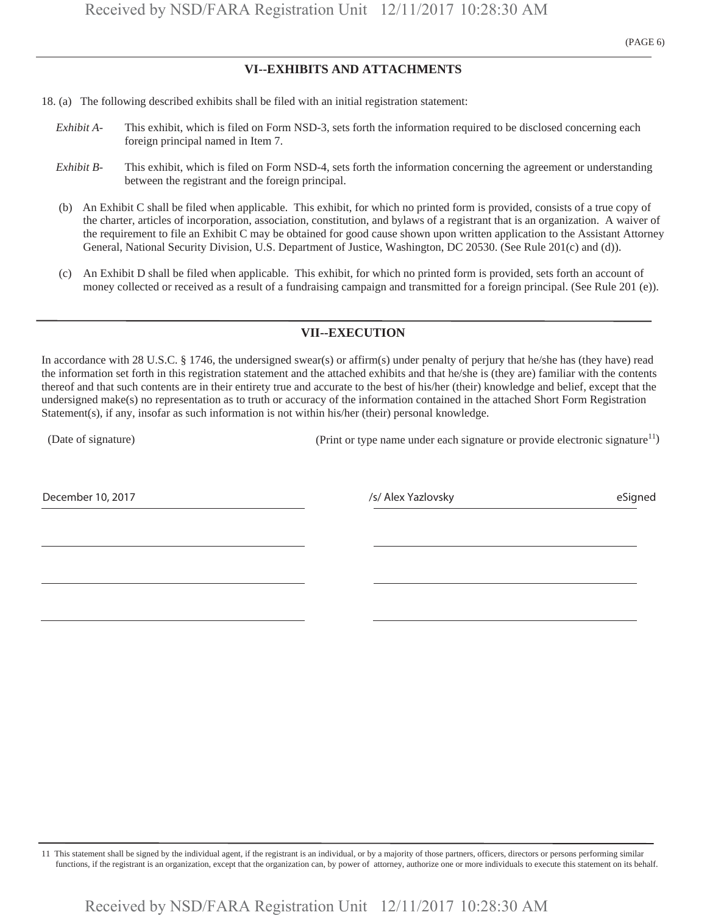## **VI--EXHIBITS AND ATTACHMENTS**

- 18. (a) The following described exhibits shall be filed with an initial registration statement:
	- *Exhibit A-* This exhibit, which is filed on Form NSD-3, sets forth the information required to be disclosed concerning each foreign principal named in Item 7.
	- *Exhibit B-* This exhibit, which is filed on Form NSD-4, sets forth the information concerning the agreement or understanding between the registrant and the foreign principal.
	- (b) An Exhibit C shall be filed when applicable. This exhibit, for which no printed form is provided, consists of a true copy of the charter, articles of incorporation, association, constitution, and bylaws of a registrant that is an organization. A waiver of the requirement to file an Exhibit C may be obtained for good cause shown upon written application to the Assistant Attorney General, National Security Division, U.S. Department of Justice, Washington, DC 20530. (See Rule 201(c) and (d)).
	- (c) An Exhibit D shall be filed when applicable. This exhibit, for which no printed form is provided, sets forth an account of money collected or received as a result of a fundraising campaign and transmitted for a foreign principal. (See Rule 201 (e)).

### **VII--EXECUTION**

In accordance with 28 U.S.C. § 1746, the undersigned swear(s) or affirm(s) under penalty of perjury that he/she has (they have) read the information set forth in this registration statement and the attached exhibits and that he/she is (they are) familiar with the contents thereof and that such contents are in their entirety true and accurate to the best of his/her (their) knowledge and belief, except that the undersigned make(s) no representation as to truth or accuracy of the information contained in the attached Short Form Registration Statement(s), if any, insofar as such information is not within his/her (their) personal knowledge.

(Date of signature) (Print or type name under each signature or provide electronic signature<sup>11</sup>)

December 10, 2017 *December 10, 2017 S/Alex Yazlovsky* **entitled as the structure of the Signed structure of the Signed structure of the Signed structure of the Signed structure of the Signed structure of the Signed st** 

11 This statement shall be signed by the individual agent, if the registrant is an individual, or by a majority of those partners, officers, directors or persons performing similar functions, if the registrant is an organization, except that the organization can, by power of attorney, authorize one or more individuals to execute this statement on its behalf.